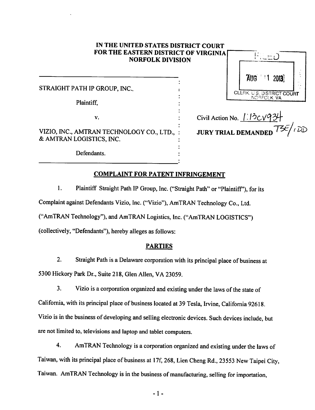## *IN THE UNITED STATES DISTRICT COURT FOR THE EASTERN DISTRICT OF VIRGINIA NORFOLK DIVISION*

STRAIGHT PATH IP GROUP, INC..

Plaintiff,

 $\mathbf{v}$ .

VIZIO, INC., AMTRAN TECHNOLOGY CO., LTD., & AMTRAN LOGISTICS, INC.

Defendants.

| AUG 11 2013                               |  |
|-------------------------------------------|--|
| CLERK. U.S. DISTRICT COURT<br>NORFOLK, VA |  |

Civil Action No. <u>1.13CV93</u>4 *JURY TRIAL DEMANDED^/ ' ^*

#### *COMPLAINT FOR PATENT INFRINGEMENT*

1. Plaintiff Straight Path IP Group, Inc. ("Straight Path"or "Plaintiff'), for its Complaint against Defendants Vizio, Inc. ("Vizio"), AmTRAN Technology Co., Ltd. ("AmTRAN Technology"), and AmTRAN Logistics, Inc. ("AmTRAN LOGISTICS") (collectively, "Defendants"), hereby alleges as follows:

#### *PARTIES*

2. Straight Path is a Delaware corporation with its principal place of business at 5300 Hickory Park Dr., Suite 218, Glen Allen, VA 23059.

3. Vizio is a corporation organized and existing under the laws of the state of California, with its principal place of business located at 39 Tesla, Irvine, California 92618. Vizio is in the business of developing and selling electronic devices. Such devices include, but are not limited to, televisions and laptop and tablet computers.

4. AmTRAN Technology is a corporation organized and existing under the laws of Taiwan, with its principal place of business at 17f, 268, Lien Cheng Rd., 23553 New Taipei City, Taiwan. AmTRAN Technology is in the business of manufacturing, selling for importation,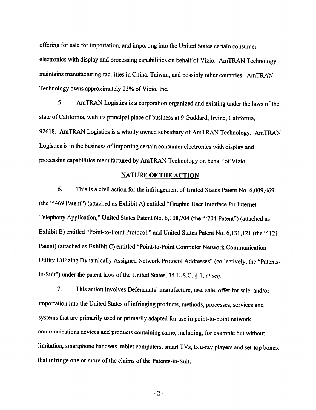offering for sale for importation, and importing into the United States certain consumer electronics with display and processing capabilities on behalf of Vizio. AmTRAN Technology maintains manufacturing facilities in China, Taiwan, and possibly other countries. AmTRAN Technology owns approximately 23% of Vizio, Inc.

5. AmTRAN Logistics is a corporation organized and existing under the laws of the state of California, with its principal place of business at 9 Goddard, Irvine, California, 92618. AmTRAN Logistics is a wholly owned subsidiary of AmTRAN Technology. AmTRAN Logistics is in the business of importing certain consumer electronics with display and processing capabilities manufactured by AmTRAN Technology on behalf of Vizio.

## **NATURE OF THE ACTION**

6. This is a civil action for the infringement of United States Patent No. 6,009,469 (the "469 Patent") (attached as Exhibit A) entitled "Graphic User Interface for Internet Telephony Application," United States Patent No. 6,108,704 (the "'704 Patent") (attached as Exhibit B) entitled "Point-to-Point Protocol," and United States Patent No. 6,131,121 (the "121 Patent) (attached as Exhibit C) entitled "Point-to-Point Computer Network Communication Utility Utilizing Dynamically Assigned Network Protocol Addresses" (collectively, the "Patentsin-Suit") under the patent laws of the United States, 35 U.S.C. § 1, et seq.

 $7<sub>1</sub>$ This action involves Defendants' manufacture, use, sale, offer for sale, and/or importation into the United States of infringing products, methods, processes, services and systems that are primarily used or primarily adapted for use in point-to-point network communications devices and products containing same, including, for example but without limitation, smartphone handsets, tablet computers, smart TVs, Blu-ray players and set-top boxes, that infringe one or more of the claims of the Patents-in-Suit.

 $-2-$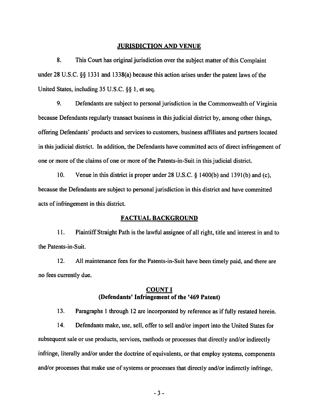#### **JURISDICTION AND VENUE**

8. This Court has original jurisdiction over the subject matter of this Complaint under 28 U.S.C. §§ 1331 and 1338(a) because this action arises under the patent laws of the United States, including 35 U.S.C. §§ 1, et seq.

9. Defendants are subject to personal jurisdiction in the Commonwealth of Virginia because Defendants regularly transact business in this judicial district by, among other things, offering Defendants' products and services to customers, business affiliates and partners located in this judicial district. In addition, the Defendants have committed acts of direct infringement of one or more of the claims of one or more of the Patents-in-Suit in this judicial district.

 $10.$ Venue in this district is proper under 28 U.S.C. § 1400(b) and 1391(b) and (c), because the Defendants are subject to personal jurisdiction in this district and have committed acts of infringement in this district.

#### **FACTUAL BACKGROUND**

11. Plaintiff Straight Path is the lawful assignee of all right, title and interest in and to the Patents-in-Suit.

 $12.$ All maintenance fees for the Patents-in-Suit have been timely paid, and there are no fees currently due.

### **COUNT I** (Defendants' Infringement of the '469 Patent)

13. Paragraphs 1 through 12 are incorporated by reference as if fully restated herein.

 $14.$ Defendants make, use, sell, offer to sell and/or import into the United States for subsequent sale or use products, services, methods or processes that directly and/or indirectly infringe, literally and/or under the doctrine of equivalents, or that employ systems, components and/or processes that make use of systems or processes that directly and/or indirectly infringe,

 $-3-$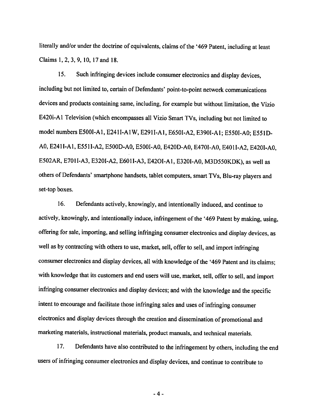literally and/or under the doctrine of equivalents, claims of the '469 Patent, including at least Claims 1, 2, 3, 9, 10, 17 and 18.

 $15.$ Such infringing devices include consumer electronics and display devices, including but not limited to, certain of Defendants' point-to-point network communications devices and products containing same, including, for example but without limitation, the Vizio E420i-A1 Television (which encompasses all Vizio Smart TVs, including but not limited to model numbers E500I-A1, E241I-A1W, E291I-A1, E650I-A2, E390I-A1; E550I-A0; E551D-A0, E241I-A1, E551I-A2, E500D-A0, E500I-A0, E420D-A0, E470I-A0, E401I-A2, E420I-A0, E502AR, E701I-A3, E320I-A2, E601I-A3, E42OI-A1, E320I-A0, M3D550KDK), as well as others of Defendants' smartphone handsets, tablet computers, smart TVs, Blu-ray players and set-top boxes.

16. Defendants actively, knowingly, and intentionally induced, and continue to actively, knowingly, and intentionally induce, infringement of the '469 Patent by making, using, offering for sale, importing, and selling infringing consumer electronics and display devices, as well as by contracting with others to use, market, sell, offer to sell, and import infringing consumer electronics and display devices, all with knowledge of the '469 Patent and its claims; with knowledge that its customers and end users will use, market, sell, offer to sell, and import infringing consumer electronics and display devices; and with the knowledge and the specific intent to encourage and facilitate those infringing sales and uses of infringing consumer electronics and display devices through the creation and dissemination of promotional and marketing materials, instructional materials, product manuals, and technical materials.

17. Defendants have also contributed to the infringement by others, including the end users of infringing consumer electronics and display devices, and continue to contribute to

 $-4-$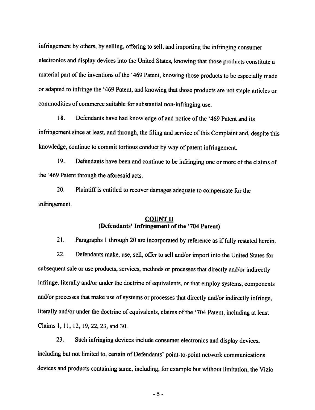infringement by others, by selling, offering to sell, and importing the infringing consumer electronics and display devices into the United States, knowing that those products constitute a material part of the inventions of the '469 Patent, knowing those products to be especially made or adapted to infringe the '469 Patent, and knowing that those products are not staple articles or commodities of commerce suitable for substantial non-infringing use.

18. Defendants have had knowledge of and notice of the '469 Patent and its infringement since at least, and through, the filing and service of this Complaint and, despite this knowledge, continue to commit tortious conduct by way of patent infringement.

19. Defendants have been and continue to be infringing one or more of the claims of the '469 Patent through the aforesaid acts.

20. Plaintiff is entitled to recover damages adequate to compensate for the infringement.

# **COUNT II** (Defendants' Infringement of the '704 Patent)

 $21.$ Paragraphs 1 through 20 are incorporated by reference as if fully restated herein.

22. Defendants make, use, sell, offer to sell and/or import into the United States for subsequent sale or use products, services, methods or processes that directly and/or indirectly infringe, literally and/or under the doctrine of equivalents, or that employ systems, components and/or processes that make use of systems or processes that directly and/or indirectly infringe, literally and/or under the doctrine of equivalents, claims of the '704 Patent, including at least Claims 1, 11, 12, 19, 22, 23, and 30.

23. Such infringing devices include consumer electronics and display devices, including but not limited to, certain of Defendants' point-to-point network communications devices and products containing same, including, for example but without limitation, the Vizio

 $-5-$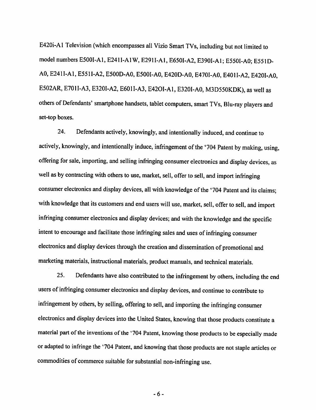E420i-A1 Television (which encompasses all Vizio Smart TVs, including but not limited to model numbers E500I-A1, E241I-A1W, E291I-A1, E650I-A2, E390I-A1; E550I-A0; E551D-A0, E241I-A1, E551I-A2, E500D-A0, E500I-A0, E420D-A0, E470I-A0, E401I-A2, E420I-A0, E502AR, E701I-A3, E320I-A2, E601I-A3, E42OI-A1, E320I-A0, M3D550KDK), as well as others of Defendants' smartphone handsets, tablet computers, smart TVs, Blu-ray players and set-top boxes.

Defendants actively, knowingly, and intentionally induced, and continue to 24. actively, knowingly, and intentionally induce, infringement of the '704 Patent by making, using, offering for sale, importing, and selling infringing consumer electronics and display devices, as well as by contracting with others to use, market, sell, offer to sell, and import infringing consumer electronics and display devices, all with knowledge of the '704 Patent and its claims; with knowledge that its customers and end users will use, market, sell, offer to sell, and import infringing consumer electronics and display devices; and with the knowledge and the specific intent to encourage and facilitate those infringing sales and uses of infringing consumer electronics and display devices through the creation and dissemination of promotional and marketing materials, instructional materials, product manuals, and technical materials.

25. Defendants have also contributed to the infringement by others, including the end users of infringing consumer electronics and display devices, and continue to contribute to infringement by others, by selling, offering to sell, and importing the infringing consumer electronics and display devices into the United States, knowing that those products constitute a material part of the inventions of the '704 Patent, knowing those products to be especially made or adapted to infringe the '704 Patent, and knowing that those products are not staple articles or commodities of commerce suitable for substantial non-infringing use.

 $-6-$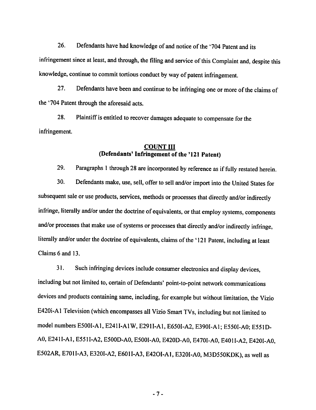26. Defendants have had knowledge of and notice of the '704 Patent and its infringement since at least, and through, the filing and service of this Complaint and, despite this knowledge, continue to commit tortious conduct by way of patent infringement.

27. Defendants have been and continue to be infringing one or more of the claims of the '704 Patent through the aforesaid acts.

28. Plaintiff is entitled to recover damages adequate to compensate for the infringement.

## **COUNT III** (Defendants' Infringement of the '121 Patent)

Paragraphs 1 through 28 are incorporated by reference as if fully restated herein. 29.

30. Defendants make, use, sell, offer to sell and/or import into the United States for subsequent sale or use products, services, methods or processes that directly and/or indirectly infringe, literally and/or under the doctrine of equivalents, or that employ systems, components and/or processes that make use of systems or processes that directly and/or indirectly infringe, literally and/or under the doctrine of equivalents, claims of the '121 Patent, including at least Claims 6 and 13.

 $31.$ Such infringing devices include consumer electronics and display devices, including but not limited to, certain of Defendants' point-to-point network communications devices and products containing same, including, for example but without limitation, the Vizio E420i-A1 Television (which encompasses all Vizio Smart TVs, including but not limited to model numbers E500I-A1, E241I-A1W, E291I-A1, E650I-A2, E390I-A1; E550I-A0; E551D-A0, E241I-A1, E551I-A2, E500D-A0, E500I-A0, E420D-A0, E470I-A0, E401I-A2, E420I-A0, E502AR, E701I-A3, E320I-A2, E601I-A3, E42OI-A1, E320I-A0, M3D550KDK), as well as

 $-7-$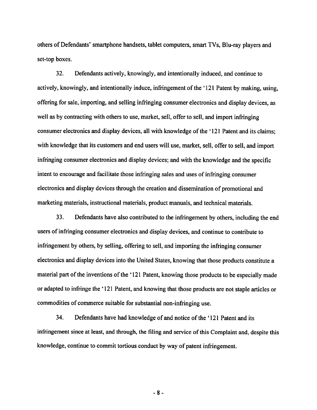others of Defendants' smartphone handsets, tablet computers, smart TVs, Blu-ray players and set-top boxes.

32. Defendants actively, knowingly, and intentionally induced, and continue to actively, knowingly, and intentionally induce, infringement of the '121 Patent by making, using. offering for sale, importing, and selling infringing consumer electronics and display devices, as well as by contracting with others to use, market, sell, offer to sell, and import infringing consumer electronics and display devices, all with knowledge of the '121 Patent and its claims; with knowledge that its customers and end users will use, market, sell, offer to sell, and import infringing consumer electronics and display devices; and with the knowledge and the specific intent to encourage and facilitate those infringing sales and uses of infringing consumer electronics and display devices through the creation and dissemination of promotional and marketing materials, instructional materials, product manuals, and technical materials.

33. Defendants have also contributed to the infringement by others, including the end users of infringing consumer electronics and display devices, and continue to contribute to infringement by others, by selling, offering to sell, and importing the infringing consumer electronics and display devices into the United States, knowing that those products constitute a material part of the inventions of the '121 Patent, knowing those products to be especially made or adapted to infringe the '121 Patent, and knowing that those products are not staple articles or commodities of commerce suitable for substantial non-infringing use.

34. Defendants have had knowledge of and notice of the '121 Patent and its infringement since at least, and through, the filing and service of this Complaint and, despite this knowledge, continue to commit tortious conduct by way of patent infringement.

 $-8-$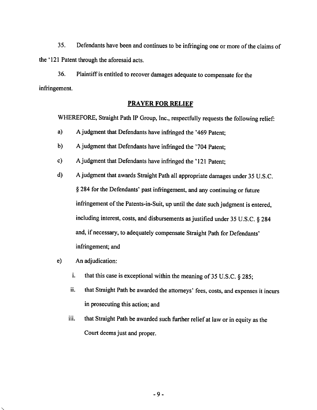$35.$ Defendants have been and continues to be infringing one or more of the claims of the '121 Patent through the aforesaid acts.

36. Plaintiff is entitled to recover damages adequate to compensate for the infringement.

# **PRAYER FOR RELIEF**

WHEREFORE, Straight Path IP Group, Inc., respectfully requests the following relief:

- $a)$ A judgment that Defendants have infringed the '469 Patent;
- $b)$ A judgment that Defendants have infringed the '704 Patent;
- $c)$ A judgment that Defendants have infringed the '121 Patent:
- A judgment that awards Straight Path all appropriate damages under 35 U.S.C. d) § 284 for the Defendants' past infringement, and any continuing or future infringement of the Patents-in-Suit, up until the date such judgment is entered, including interest, costs, and disbursements as justified under 35 U.S.C. § 284 and, if necessary, to adequately compensate Straight Path for Defendants' infringement; and
- $e)$ An adjudication:
	- i. that this case is exceptional within the meaning of 35 U.S.C. § 285;
	- that Straight Path be awarded the attorneys' fees, costs, and expenses it incurs ii. in prosecuting this action; and
	- that Straight Path be awarded such further relief at law or in equity as the iii. Court deems just and proper.